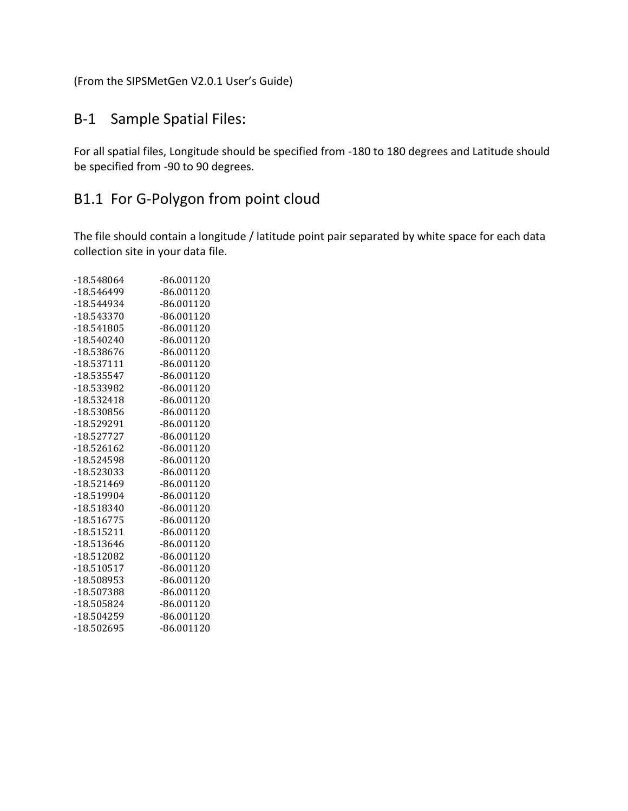(From the SIPSMetGen V2.0.1 User's Guide)

## B-1 Sample Spatial Files:

For all spatial files, Longitude should be specified from -180 to 180 degrees and Latitude should be specified from -90 to 90 degrees.

## B1.1 For G-Polygon from point cloud

The file should contain a longitude / latitude point pair separated by white space for each data collection site in your data file.

| -18.548064   | $-86.001120$ |
|--------------|--------------|
| -18.546499   | $-86.001120$ |
| -18.544934   | $-86.001120$ |
| -18.543370   | $-86.001120$ |
| $-18.541805$ | $-86.001120$ |
| $-18.540240$ | $-86.001120$ |
| -18.538676   | $-86.001120$ |
| $-18.537111$ | $-86.001120$ |
| -18.535547   | $-86.001120$ |
| -18.533982   | $-86.001120$ |
| $-18.532418$ | $-86.001120$ |
| -18.530856   | $-86.001120$ |
| -18.529291   | $-86.001120$ |
| $-18.527727$ | $-86.001120$ |
| -18.526162   | $-86.001120$ |
| -18.524598   | $-86.001120$ |
| -18.523033   | $-86.001120$ |
| -18.521469   | $-86.001120$ |
| -18.519904   | $-86.001120$ |
| -18.518340   | $-86.001120$ |
| $-18.516775$ | $-86.001120$ |
| $-18.515211$ | $-86.001120$ |
| -18.513646   | $-86.001120$ |
| -18.512082   | $-86.001120$ |
| $-18.510517$ | $-86.001120$ |
| -18.508953   | $-86.001120$ |
| -18.507388   | $-86.001120$ |
| -18.505824   | $-86.001120$ |
| -18.504259   | $-86.001120$ |
| -18.502695   | $-86.001120$ |
|              |              |